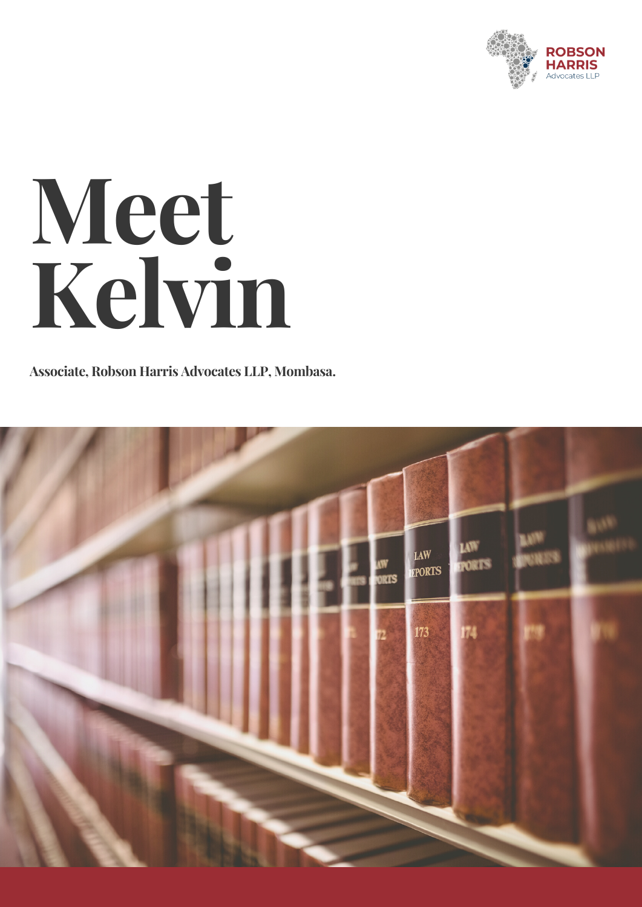

## **Meet Kelvin**

**Associate, Robson Harris Advocates LLP, Mombasa.**